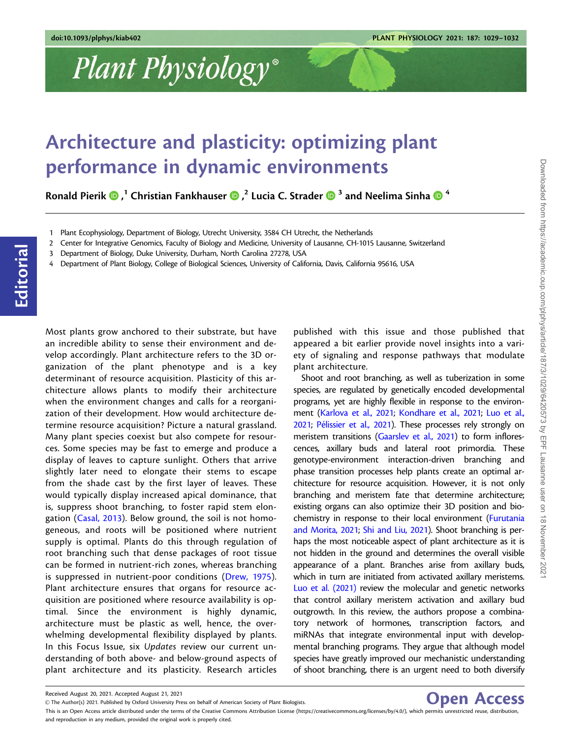## Plant Physiology®

## Architecture and plasticity: optimizing plant performance in dynamic environments

Ronald Pierik  $\bm{\Theta}$  , $^1$  Christian Fankhauser  $\bm{\Theta}$  , $^2$  Lucia C. Strader  $\bm{\Theta}^3$  and Neelima Sinha  $\bm{\Theta}^4$ 

- 3 Department of Biology, Duke University, Durham, North Carolina 27278, USA
- 4 Department of Plant Biology, College of Biological Sciences, University of California, Davis, California 95616, USA

Most plants grow anchored to their substrate, but have an incredible ability to sense their environment and develop accordingly. Plant architecture refers to the 3D organization of the plant phenotype and is a key determinant of resource acquisition. Plasticity of this architecture allows plants to modify their architecture when the environment changes and calls for a reorganization of their development. How would architecture determine resource acquisition? Picture a natural grassland. Many plant species coexist but also compete for resources. Some species may be fast to emerge and produce a display of leaves to capture sunlight. Others that arrive slightly later need to elongate their stems to escape from the shade cast by the first layer of leaves. These would typically display increased apical dominance, that is, suppress shoot branching, to foster rapid stem elongation ([Casal, 2013](#page-3-0)). Below ground, the soil is not homogeneous, and roots will be positioned where nutrient supply is optimal. Plants do this through regulation of root branching such that dense packages of root tissue can be formed in nutrient-rich zones, whereas branching is suppressed in nutrient-poor conditions ([Drew, 1975\)](#page-3-0). Plant architecture ensures that organs for resource acquisition are positioned where resource availability is optimal. Since the environment is highly dynamic, architecture must be plastic as well, hence, the overwhelming developmental flexibility displayed by plants. In this Focus Issue, six Updates review our current understanding of both above- and below-ground aspects of plant architecture and its plasticity. Research articles

published with this issue and those published that appeared a bit earlier provide novel insights into a variety of signaling and response pathways that modulate plant architecture.

Shoot and root branching, as well as tuberization in some species, are regulated by genetically encoded developmental programs, yet are highly flexible in response to the environment [\(Karlova et al., 2021](#page-3-0); [Kondhare et al., 2021;](#page-3-0) [Luo et al.,](#page-3-0) [2021;](#page-3-0) Pélissier et al., 2021). These processes rely strongly on meristem transitions ([Gaarslev et al., 2021\)](#page-3-0) to form inflorescences, axillary buds and lateral root primordia. These genotype-environment interaction-driven branching and phase transition processes help plants create an optimal architecture for resource acquisition. However, it is not only branching and meristem fate that determine architecture; existing organs can also optimize their 3D position and biochemistry in response to their local environment [\(Furutania](#page-3-0) [and Morita, 2021;](#page-3-0) [Shi and Liu, 2021\)](#page-3-0). Shoot branching is perhaps the most noticeable aspect of plant architecture as it is not hidden in the ground and determines the overall visible appearance of a plant. Branches arise from axillary buds, which in turn are initiated from activated axillary meristems. [Luo et al. \(2021\)](#page-3-0) review the molecular and genetic networks that control axillary meristem activation and axillary bud outgrowth. In this review, the authors propose a combinatory network of hormones, transcription factors, and miRNAs that integrate environmental input with developmental branching programs. They argue that although model species have greatly improved our mechanistic understanding of shoot branching, there is an urgent need to both diversify

Open Access

Editorial

Downloaded from https://academic.oup.com/plphys/article/187/3/1029/6420573 by EPF Lausanne user on 18 November 2021

This is an Open Access article distributed under the terms of the Creative Commons Attribution License (https://creativecommons.org/licenses/by/4.0/), which permits unrestricted reuse, distribution, and reproduction in any medium, provided the original work is properly cited.

<sup>1</sup> Plant Ecophysiology, Department of Biology, Utrecht University, 3584 CH Utrecht, the Netherlands

<sup>2</sup> Center for Integrative Genomics, Faculty of Biology and Medicine, University of Lausanne, CH-1015 Lausanne, Switzerland

Received August 20, 2021. Accepted August 21, 2021

V<sup>C</sup> The Author(s) 2021. Published by Oxford University Press on behalf of American Society of Plant Biologists.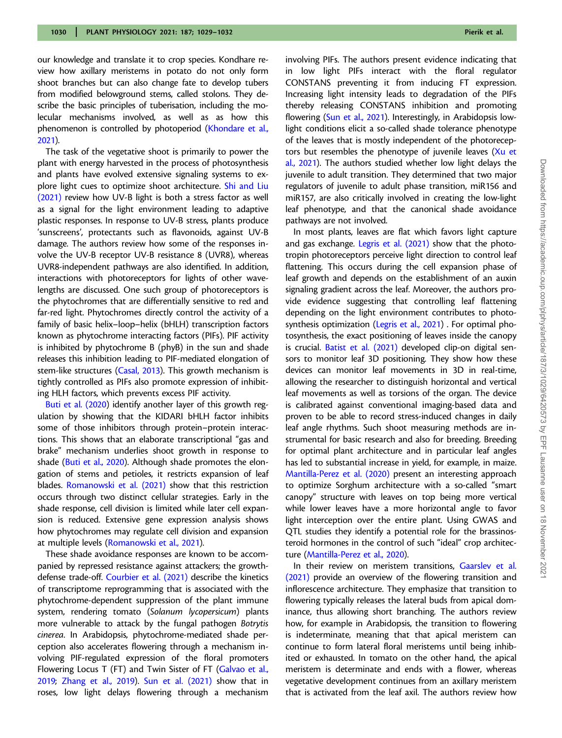our knowledge and translate it to crop species. Kondhare review how axillary meristems in potato do not only form shoot branches but can also change fate to develop tubers from modified belowground stems, called stolons. They describe the basic principles of tuberisation, including the molecular mechanisms involved, as well as as how this phenomenon is controlled by photoperiod [\(Khondare et al.,](#page-3-0) [2021](#page-3-0)).

The task of the vegetative shoot is primarily to power the plant with energy harvested in the process of photosynthesis and plants have evolved extensive signaling systems to explore light cues to optimize shoot architecture. [Shi and Liu](#page-3-0) [\(2021\)](#page-3-0) review how UV-B light is both a stress factor as well as a signal for the light environment leading to adaptive plastic responses. In response to UV-B stress, plants produce 'sunscreens', protectants such as flavonoids, against UV-B damage. The authors review how some of the responses involve the UV-B receptor UV-B resistance 8 (UVR8), whereas UVR8-independent pathways are also identified. In addition, interactions with photoreceptors for lights of other wavelengths are discussed. One such group of photoreceptors is the phytochromes that are differentially sensitive to red and far-red light. Phytochromes directly control the activity of a family of basic helix–loop–helix (bHLH) transcription factors known as phytochrome interacting factors (PIFs). PIF activity is inhibited by phytochrome B (phyB) in the sun and shade releases this inhibition leading to PIF-mediated elongation of stem-like structures [\(Casal, 2013\)](#page-3-0). This growth mechanism is tightly controlled as PIFs also promote expression of inhibiting HLH factors, which prevents excess PIF activity.

[Buti et al. \(2020\)](#page-3-0) identify another layer of this growth regulation by showing that the KIDARI bHLH factor inhibits some of those inhibitors through protein–protein interactions. This shows that an elaborate transcriptional "gas and brake" mechanism underlies shoot growth in response to shade [\(Buti et al., 2020](#page-3-0)). Although shade promotes the elongation of stems and petioles, it restricts expansion of leaf blades. [Romanowski et al. \(2021\)](#page-3-0) show that this restriction occurs through two distinct cellular strategies. Early in the shade response, cell division is limited while later cell expansion is reduced. Extensive gene expression analysis shows how phytochromes may regulate cell division and expansion at multiple levels [\(Romanowski et al., 2021](#page-3-0)).

These shade avoidance responses are known to be accompanied by repressed resistance against attackers; the growthdefense trade-off. [Courbier et al. \(2021\)](#page-3-0) describe the kinetics of transcriptome reprogramming that is associated with the phytochrome-dependent suppression of the plant immune system, rendering tomato (Solanum lycopersicum) plants more vulnerable to attack by the fungal pathogen Botrytis cinerea. In Arabidopsis, phytochrome-mediated shade perception also accelerates flowering through a mechanism involving PIF-regulated expression of the floral promoters Flowering Locus T (FT) and Twin Sister of FT [\(Galvao et al.,](#page-3-0) [2019;](#page-3-0) [Zhang et al., 2019](#page-3-0)). [Sun et al. \(2021\)](#page-3-0) show that in roses, low light delays flowering through a mechanism involving PIFs. The authors present evidence indicating that in low light PIFs interact with the floral regulator CONSTANS preventing it from inducing FT expression. Increasing light intensity leads to degradation of the PIFs thereby releasing CONSTANS inhibition and promoting flowering ([Sun et al., 2021](#page-3-0)). Interestingly, in Arabidopsis lowlight conditions elicit a so-called shade tolerance phenotype of the leaves that is mostly independent of the photoreceptors but resembles the phenotype of juvenile leaves [\(Xu et](#page-3-0) [al., 2021](#page-3-0)). The authors studied whether low light delays the juvenile to adult transition. They determined that two major regulators of juvenile to adult phase transition, miR156 and miR157, are also critically involved in creating the low-light leaf phenotype, and that the canonical shade avoidance pathways are not involved.

In most plants, leaves are flat which favors light capture and gas exchange. [Legris et al. \(2021\)](#page-3-0) show that the phototropin photoreceptors perceive light direction to control leaf flattening. This occurs during the cell expansion phase of leaf growth and depends on the establishment of an auxin signaling gradient across the leaf. Moreover, the authors provide evidence suggesting that controlling leaf flattening depending on the light environment contributes to photosynthesis optimization [\(Legris et al., 2021\)](#page-3-0) . For optimal photosynthesis, the exact positioning of leaves inside the canopy is crucial. [Batist et al. \(2021\)](#page-3-0) developed clip-on digital sensors to monitor leaf 3D positioning. They show how these devices can monitor leaf movements in 3D in real-time, allowing the researcher to distinguish horizontal and vertical leaf movements as well as torsions of the organ. The device is calibrated against conventional imaging-based data and proven to be able to record stress-induced changes in daily leaf angle rhythms. Such shoot measuring methods are instrumental for basic research and also for breeding. Breeding for optimal plant architecture and in particular leaf angles has led to substantial increase in yield, for example, in maize. [Mantilla-Perez et al. \(2020\)](#page-3-0) present an interesting approach to optimize Sorghum architecture with a so-called "smart canopy" structure with leaves on top being more vertical while lower leaves have a more horizontal angle to favor light interception over the entire plant. Using GWAS and QTL studies they identify a potential role for the brassinosteroid hormones in the control of such "ideal" crop architecture [\(Mantilla-Perez et al., 2020](#page-3-0)).

In their review on meristem transitions, [Gaarslev et al.](#page-3-0) [\(2021\)](#page-3-0) provide an overview of the flowering transition and inflorescence architecture. They emphasize that transition to flowering typically releases the lateral buds from apical dominance, thus allowing short branching. The authors review how, for example in Arabidopsis, the transition to flowering is indeterminate, meaning that that apical meristem can continue to form lateral floral meristems until being inhibited or exhausted. In tomato on the other hand, the apical meristem is determinate and ends with a flower, whereas vegetative development continues from an axillary meristem that is activated from the leaf axil. The authors review how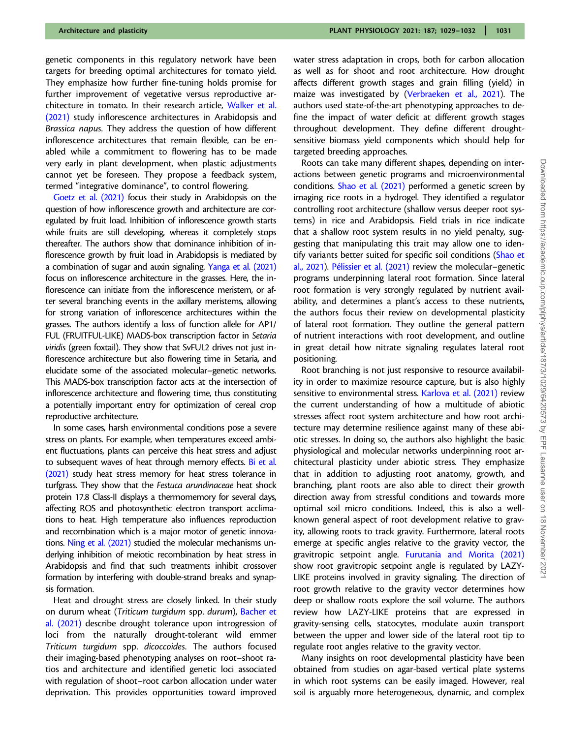genetic components in this regulatory network have been targets for breeding optimal architectures for tomato yield. They emphasize how further fine-tuning holds promise for further improvement of vegetative versus reproductive architecture in tomato. In their research article, [Walker et al.](#page-3-0) [\(2021\)](#page-3-0) study inflorescence architectures in Arabidopsis and Brassica napus. They address the question of how different inflorescence architectures that remain flexible, can be enabled while a commitment to flowering has to be made very early in plant development, when plastic adjustments cannot yet be foreseen. They propose a feedback system, termed "integrative dominance", to control flowering.

[Goetz et al. \(2021\)](#page-3-0) focus their study in Arabidopsis on the question of how inflorescence growth and architecture are coregulated by fruit load. Inhibition of inflorescence growth starts while fruits are still developing, whereas it completely stops thereafter. The authors show that dominance inhibition of inflorescence growth by fruit load in Arabidopsis is mediated by a combination of sugar and auxin signaling. [Yanga et al. \(2021\)](#page-3-0) focus on inflorescence architecture in the grasses. Here, the inflorescence can initiate from the inflorescence meristem, or after several branching events in the axillary meristems, allowing for strong variation of inflorescence architectures within the grasses. The authors identify a loss of function allele for AP1/ FUL (FRUITFUL-LIKE) MADS-box transcription factor in Setaria viridis (green foxtail). They show that SvFUL2 drives not just inflorescence architecture but also flowering time in Setaria, and elucidate some of the associated molecular–genetic networks. This MADS-box transcription factor acts at the intersection of inflorescence architecture and flowering time, thus constituting a potentially important entry for optimization of cereal crop reproductive architecture.

In some cases, harsh environmental conditions pose a severe stress on plants. For example, when temperatures exceed ambient fluctuations, plants can perceive this heat stress and adjust to subsequent waves of heat through memory effects. [Bi et al.](#page-3-0) [\(2021\)](#page-3-0) study heat stress memory for heat stress tolerance in turfgrass. They show that the Festuca arundinaceae heat shock protein 17.8 Class-II displays a thermomemory for several days, affecting ROS and photosynthetic electron transport acclimations to heat. High temperature also influences reproduction and recombination which is a major motor of genetic innovations. [Ning et al. \(2021\)](#page-3-0) studied the molecular mechanisms underlying inhibition of meiotic recombination by heat stress in Arabidopsis and find that such treatments inhibit crossover formation by interfering with double-strand breaks and synapsis formation.

Heat and drought stress are closely linked. In their study on durum wheat (Triticum turgidum spp. durum), [Bacher et](#page-3-0) [al. \(2021\)](#page-3-0) describe drought tolerance upon introgression of loci from the naturally drought-tolerant wild emmer Triticum turgidum spp. dicoccoides. The authors focused their imaging-based phenotyping analyses on root–shoot ratios and architecture and identified genetic loci associated with regulation of shoot–root carbon allocation under water deprivation. This provides opportunities toward improved

water stress adaptation in crops, both for carbon allocation as well as for shoot and root architecture. How drought affects different growth stages and grain filling (yield) in maize was investigated by [\(Verbraeken et al., 2021](#page-3-0)). The authors used state-of-the-art phenotyping approaches to define the impact of water deficit at different growth stages throughout development. They define different droughtsensitive biomass yield components which should help for targeted breeding approaches.

Roots can take many different shapes, depending on interactions between genetic programs and microenvironmental conditions. [Shao et al. \(2021\)](#page-3-0) performed a genetic screen by imaging rice roots in a hydrogel. They identified a regulator controlling root architecture (shallow versus deeper root systems) in rice and Arabidopsis. Field trials in rice indicate that a shallow root system results in no yield penalty, suggesting that manipulating this trait may allow one to identify variants better suited for specific soil conditions ([Shao et](#page-3-0) [al., 2021](#page-3-0)). Pélissier et al. (2021) review the molecular–genetic programs underpinning lateral root formation. Since lateral root formation is very strongly regulated by nutrient availability, and determines a plant's access to these nutrients, the authors focus their review on developmental plasticity of lateral root formation. They outline the general pattern of nutrient interactions with root development, and outline in great detail how nitrate signaling regulates lateral root positioning.

Root branching is not just responsive to resource availability in order to maximize resource capture, but is also highly sensitive to environmental stress. [Karlova et al. \(2021\)](#page-3-0) review the current understanding of how a multitude of abiotic stresses affect root system architecture and how root architecture may determine resilience against many of these abiotic stresses. In doing so, the authors also highlight the basic physiological and molecular networks underpinning root architectural plasticity under abiotic stress. They emphasize that in addition to adjusting root anatomy, growth, and branching, plant roots are also able to direct their growth direction away from stressful conditions and towards more optimal soil micro conditions. Indeed, this is also a wellknown general aspect of root development relative to gravity, allowing roots to track gravity. Furthermore, lateral roots emerge at specific angles relative to the gravity vector, the gravitropic setpoint angle. [Furutania and Morita \(2021\)](#page-3-0) show root gravitropic setpoint angle is regulated by LAZY-LIKE proteins involved in gravity signaling. The direction of root growth relative to the gravity vector determines how deep or shallow roots explore the soil volume. The authors review how LAZY-LIKE proteins that are expressed in gravity-sensing cells, statocytes, modulate auxin transport between the upper and lower side of the lateral root tip to regulate root angles relative to the gravity vector.

Many insights on root developmental plasticity have been obtained from studies on agar-based vertical plate systems in which root systems can be easily imaged. However, real soil is arguably more heterogeneous, dynamic, and complex